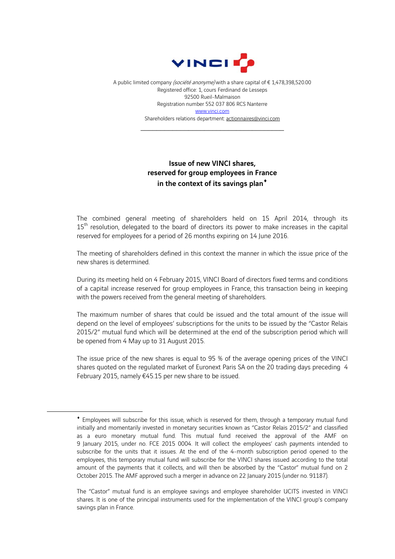

A public limited company (société anonyme) with a share capital of € 1,478,398,520.00 Registered office: 1, cours Ferdinand de Lesseps 92500 Rueil-Malmaison Registration number 552 037 806 RCS Nanterre www.vinci.com Shareholders relations department: actionnaires@vinci.com

\_\_\_\_\_\_\_\_\_\_\_\_\_\_\_\_\_\_\_\_\_\_\_\_\_\_\_\_\_\_\_\_\_\_\_\_

## Issue of new VINCI shares, reserved for group employees in France in the context of its savings plan<sup>\*</sup>

The combined general meeting of shareholders held on 15 April 2014, through its 15<sup>th</sup> resolution, delegated to the board of directors its power to make increases in the capital reserved for employees for a period of 26 months expiring on 14 June 2016.

The meeting of shareholders defined in this context the manner in which the issue price of the new shares is determined.

During its meeting held on 4 February 2015, VINCI Board of directors fixed terms and conditions of a capital increase reserved for group employees in France, this transaction being in keeping with the powers received from the general meeting of shareholders.

The maximum number of shares that could be issued and the total amount of the issue will depend on the level of employees' subscriptions for the units to be issued by the "Castor Relais 2015/2" mutual fund which will be determined at the end of the subscription period which will be opened from 4 May up to 31 August 2015.

The issue price of the new shares is equal to 95 % of the average opening prices of the VINCI shares quoted on the regulated market of Euronext Paris SA on the 20 trading days preceding 4 February 2015, namely €45.15 per new share to be issued.

1

Employees will subscribe for this issue, which is reserved for them, through a temporary mutual fund initially and momentarily invested in monetary securities known as "Castor Relais 2015/2" and classified as a euro monetary mutual fund. This mutual fund received the approval of the AMF on 9 January 2015, under no. FCE 2015 0004. It will collect the employees' cash payments intended to subscribe for the units that it issues. At the end of the 4-month subscription period opened to the employees, this temporary mutual fund will subscribe for the VINCI shares issued according to the total amount of the payments that it collects, and will then be absorbed by the "Castor" mutual fund on 2 October 2015. The AMF approved such a merger in advance on 22 January 2015 (under no. 91187).

The "Castor" mutual fund is an employee savings and employee shareholder UCITS invested in VINCI shares. It is one of the principal instruments used for the implementation of the VINCI group's company savings plan in France.